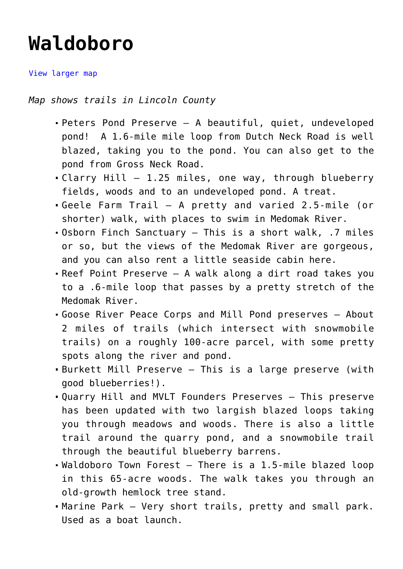## **[Waldoboro](https://mainebyfoot.com/waldoboro/)**

[View larger map](https://www.arcgis.com/apps/Embed/index.html?webmap=6c49921378314f9e8952ad2769db082c&extent=-69.4515,44.0583,-69.262,44.1327&home=true&zoom=true&scale=true&disable_scroll=false&theme=light)

*Map shows trails in Lincoln County*

- [Peters Pond Preserve —](https://mainebyfoot.com/peters-pond-preserve-waldoboro/) A beautiful, quiet, undeveloped pond! A 1.6-mile mile loop from Dutch Neck Road is well blazed, taking you to the pond. You can also get to the pond from Gross Neck Road.
- [Clarry Hill](http://wp.me/p75OtA-1I9) 1.25 miles, one way, through blueberry fields, woods and to an undeveloped pond. A treat.
- [Geele Farm Trail](https://mainebyfoot.com/?p=5358) A pretty and varied 2.5-mile (or shorter) walk, with places to swim in Medomak River.
- [Osborn Finch Sanctuary —](https://mainebyfoot.com/osborn-finch-wildlife-sanctuary-waldoboro/) This is a short walk, .7 miles or so, but the views of the Medomak River are gorgeous, and you can also rent a little seaside cabin here.
- [Reef Point Preserve](http://wp.me/p75OtA-1In)  A walk along a dirt road takes you to a .6-mile loop that passes by a pretty stretch of the Medomak River.
- [Goose River Peace Corps and Mill Pond preserves](https://mainebyfoot.com/goose-river-peace-corps-and-mill-pond-preserves-waldoboro/) About 2 miles of trails (which intersect with snowmobile trails) on a roughly 100-acre parcel, with some pretty spots along the river and pond.
- [Burkett Mill Preserve —](https://mainebyfoot.com/burkett-mill-preserve-waldoboro/) This is a large preserve (with good blueberries!).
- [Quarry Hill and MVLT Founders Preserves](https://mainebyfoot.com/quarry-hill-preserve-waldoboro/) This preserve has been updated with two largish blazed loops taking you through meadows and woods. There is also a little trail around the quarry pond, and a snowmobile trail through the beautiful blueberry barrens.
- [Waldoboro Town Forest](https://mainebyfoot.com/town-forest-waldoboro/) There is a 1.5-mile blazed loop in this 65-acre woods. The walk takes you through an old-growth hemlock tree stand.
- [Marine Park](https://mainebyfoot.com/marine-park-waldoboro/) Very short trails, pretty and small park. Used as a boat launch.